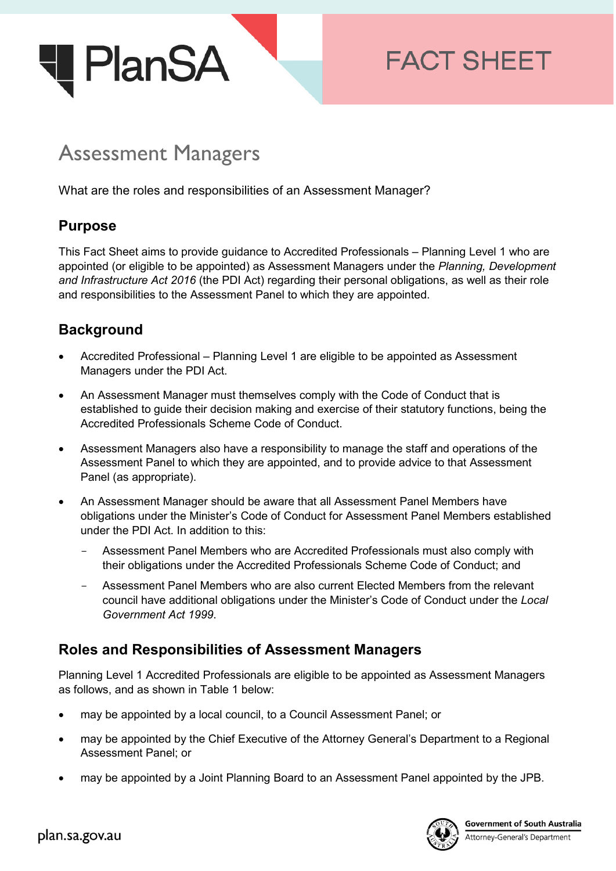

# **FACT SHEET**

# Assessment Managers

What are the roles and responsibilities of an Assessment Manager?

## **Purpose**

This Fact Sheet aims to provide guidance to Accredited Professionals – Planning Level 1 who are appointed (or eligible to be appointed) as Assessment Managers under the *Planning, Development and Infrastructure Act 2016* (the PDI Act) regarding their personal obligations, as well as their role and responsibilities to the Assessment Panel to which they are appointed.

# **Background**

- Accredited Professional Planning Level 1 are eligible to be appointed as Assessment Managers under the PDI Act.
- An Assessment Manager must themselves comply with the Code of Conduct that is established to guide their decision making and exercise of their statutory functions, being the Accredited Professionals Scheme Code of Conduct.
- Assessment Managers also have a responsibility to manage the staff and operations of the Assessment Panel to which they are appointed, and to provide advice to that Assessment Panel (as appropriate).
- An Assessment Manager should be aware that all Assessment Panel Members have obligations under the Minister's Code of Conduct for Assessment Panel Members established under the PDI Act. In addition to this:
	- Assessment Panel Members who are Accredited Professionals must also comply with their obligations under the Accredited Professionals Scheme Code of Conduct; and
	- Assessment Panel Members who are also current Elected Members from the relevant council have additional obligations under the Minister's Code of Conduct under the *Local Government Act 1999*.

# **Roles and Responsibilities of Assessment Managers**

Planning Level 1 Accredited Professionals are eligible to be appointed as Assessment Managers as follows, and as shown in Table 1 below:

- may be appointed by a local council, to a Council Assessment Panel; or
- may be appointed by the Chief Executive of the Attorney General's Department to a Regional Assessment Panel; or
- may be appointed by a Joint Planning Board to an Assessment Panel appointed by the JPB.

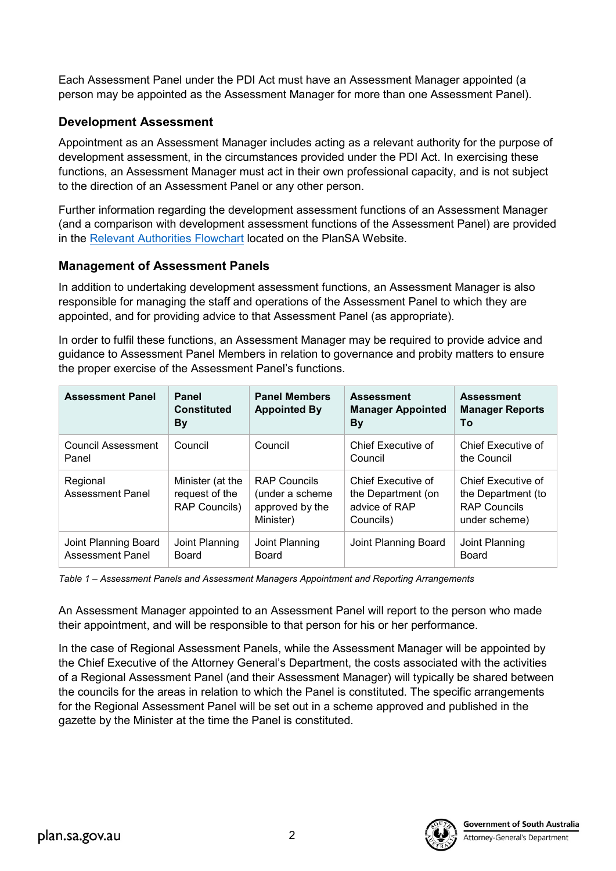Each Assessment Panel under the PDI Act must have an Assessment Manager appointed (a person may be appointed as the Assessment Manager for more than one Assessment Panel).

## **Development Assessment**

Appointment as an Assessment Manager includes acting as a relevant authority for the purpose of development assessment, in the circumstances provided under the PDI Act. In exercising these functions, an Assessment Manager must act in their own professional capacity, and is not subject to the direction of an Assessment Panel or any other person.

Further information regarding the development assessment functions of an Assessment Manager (and a comparison with development assessment functions of the Assessment Panel) are provided in the [Relevant Authorities Flowchart](https://plan.sa.gov.au/__data/assets/pdf_file/0011/283799/Flowchart_-_Relevant_Authorities.pdf) located on the PlanSA Website.

## **Management of Assessment Panels**

In addition to undertaking development assessment functions, an Assessment Manager is also responsible for managing the staff and operations of the Assessment Panel to which they are appointed, and for providing advice to that Assessment Panel (as appropriate).

In order to fulfil these functions, an Assessment Manager may be required to provide advice and guidance to Assessment Panel Members in relation to governance and probity matters to ensure the proper exercise of the Assessment Panel's functions.

| <b>Assessment Panel</b>                         | Panel<br><b>Constituted</b><br>Вy                          | <b>Panel Members</b><br><b>Appointed By</b>                             | <b>Assessment</b><br><b>Manager Appointed</b><br><b>By</b>             | <b>Assessment</b><br><b>Manager Reports</b><br>Т٥                                |
|-------------------------------------------------|------------------------------------------------------------|-------------------------------------------------------------------------|------------------------------------------------------------------------|----------------------------------------------------------------------------------|
| Council Assessment<br>Panel                     | Council                                                    | Council                                                                 | Chief Executive of<br>Council                                          | Chief Executive of<br>the Council                                                |
| Regional<br>Assessment Panel                    | Minister (at the<br>request of the<br><b>RAP Councils)</b> | <b>RAP Councils</b><br>(under a scheme)<br>approved by the<br>Minister) | Chief Executive of<br>the Department (on<br>advice of RAP<br>Councils) | Chief Executive of<br>the Department (to<br><b>RAP Councils</b><br>under scheme) |
| Joint Planning Board<br><b>Assessment Panel</b> | Joint Planning<br>Board                                    | Joint Planning<br>Board                                                 | Joint Planning Board                                                   | Joint Planning<br>Board                                                          |

*Table 1 – Assessment Panels and Assessment Managers Appointment and Reporting Arrangements*

An Assessment Manager appointed to an Assessment Panel will report to the person who made their appointment, and will be responsible to that person for his or her performance.

In the case of Regional Assessment Panels, while the Assessment Manager will be appointed by the Chief Executive of the Attorney General's Department, the costs associated with the activities of a Regional Assessment Panel (and their Assessment Manager) will typically be shared between the councils for the areas in relation to which the Panel is constituted. The specific arrangements for the Regional Assessment Panel will be set out in a scheme approved and published in the gazette by the Minister at the time the Panel is constituted.



-<br>Attorney-General's Department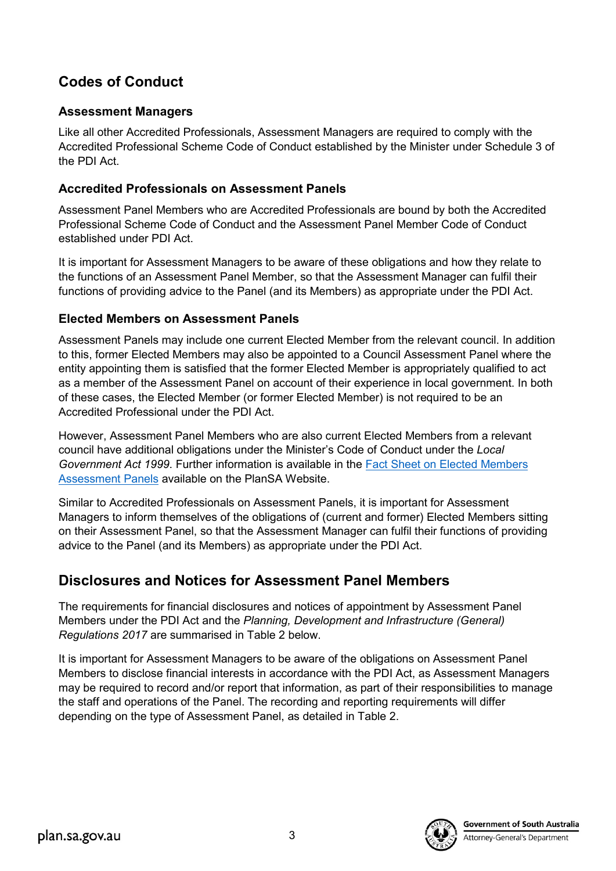# **Codes of Conduct**

### **Assessment Managers**

Like all other Accredited Professionals, Assessment Managers are required to comply with the Accredited Professional Scheme Code of Conduct established by the Minister under Schedule 3 of the PDI Act.

## **Accredited Professionals on Assessment Panels**

Assessment Panel Members who are Accredited Professionals are bound by both the Accredited Professional Scheme Code of Conduct and the Assessment Panel Member Code of Conduct established under PDI Act.

It is important for Assessment Managers to be aware of these obligations and how they relate to the functions of an Assessment Panel Member, so that the Assessment Manager can fulfil their functions of providing advice to the Panel (and its Members) as appropriate under the PDI Act.

## **Elected Members on Assessment Panels**

Assessment Panels may include one current Elected Member from the relevant council. In addition to this, former Elected Members may also be appointed to a Council Assessment Panel where the entity appointing them is satisfied that the former Elected Member is appropriately qualified to act as a member of the Assessment Panel on account of their experience in local government. In both of these cases, the Elected Member (or former Elected Member) is not required to be an Accredited Professional under the PDI Act.

However, Assessment Panel Members who are also current Elected Members from a relevant council have additional obligations under the Minister's Code of Conduct under the *Local Government Act 1999*. Further information is available in the [Fact Sheet on Elected Members](https://plan.sa.gov.au/__data/assets/pdf_file/0004/758506/Fact_Sheet_-_Elected_Members_on_Council_Assessment_Panels.pdf)  [Assessment Panels](https://plan.sa.gov.au/__data/assets/pdf_file/0004/758506/Fact_Sheet_-_Elected_Members_on_Council_Assessment_Panels.pdf) available on the PlanSA Website.

Similar to Accredited Professionals on Assessment Panels, it is important for Assessment Managers to inform themselves of the obligations of (current and former) Elected Members sitting on their Assessment Panel, so that the Assessment Manager can fulfil their functions of providing advice to the Panel (and its Members) as appropriate under the PDI Act.

# **Disclosures and Notices for Assessment Panel Members**

The requirements for financial disclosures and notices of appointment by Assessment Panel Members under the PDI Act and the *Planning, Development and Infrastructure (General) Regulations 2017* are summarised in Table 2 below.

It is important for Assessment Managers to be aware of the obligations on Assessment Panel Members to disclose financial interests in accordance with the PDI Act, as Assessment Managers may be required to record and/or report that information, as part of their responsibilities to manage the staff and operations of the Panel. The recording and reporting requirements will differ depending on the type of Assessment Panel, as detailed in Table 2.